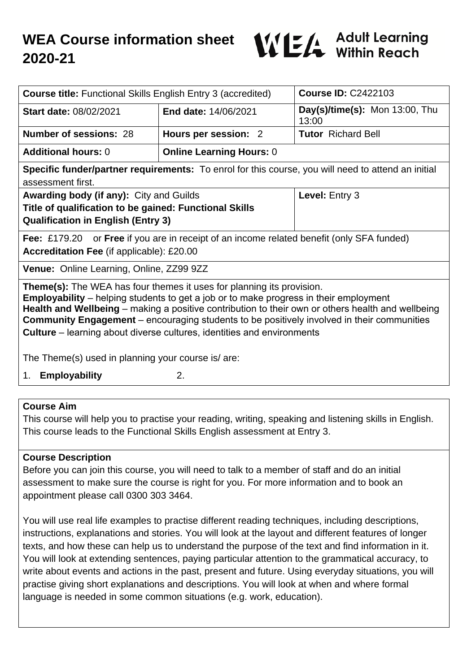

| <b>Course title: Functional Skills English Entry 3 (accredited)</b>                                                                                                                                                                                                                                                                                                                                                                                                     |                                 | <b>Course ID: C2422103</b>              |
|-------------------------------------------------------------------------------------------------------------------------------------------------------------------------------------------------------------------------------------------------------------------------------------------------------------------------------------------------------------------------------------------------------------------------------------------------------------------------|---------------------------------|-----------------------------------------|
| <b>Start date: 08/02/2021</b>                                                                                                                                                                                                                                                                                                                                                                                                                                           | <b>End date: 14/06/2021</b>     | Day(s)/time(s): Mon 13:00, Thu<br>13:00 |
| <b>Number of sessions: 28</b>                                                                                                                                                                                                                                                                                                                                                                                                                                           | Hours per session: 2            | <b>Tutor</b> Richard Bell               |
| <b>Additional hours: 0</b>                                                                                                                                                                                                                                                                                                                                                                                                                                              | <b>Online Learning Hours: 0</b> |                                         |
| Specific funder/partner requirements: To enrol for this course, you will need to attend an initial<br>assessment first.                                                                                                                                                                                                                                                                                                                                                 |                                 |                                         |
| Awarding body (if any): City and Guilds<br>Title of qualification to be gained: Functional Skills<br><b>Qualification in English (Entry 3)</b>                                                                                                                                                                                                                                                                                                                          |                                 | Level: Entry 3                          |
| <b>Fee:</b> £179.20 or <b>Free</b> if you are in receipt of an income related benefit (only SFA funded)<br><b>Accreditation Fee (if applicable): £20.00</b>                                                                                                                                                                                                                                                                                                             |                                 |                                         |
| Venue: Online Learning, Online, ZZ99 9ZZ                                                                                                                                                                                                                                                                                                                                                                                                                                |                                 |                                         |
| <b>Theme(s):</b> The WEA has four themes it uses for planning its provision.<br><b>Employability</b> – helping students to get a job or to make progress in their employment<br>Health and Wellbeing - making a positive contribution to their own or others health and wellbeing<br><b>Community Engagement</b> – encouraging students to be positively involved in their communities<br><b>Culture</b> – learning about diverse cultures, identities and environments |                                 |                                         |
| The Theme(s) used in planning your course is/ are:                                                                                                                                                                                                                                                                                                                                                                                                                      |                                 |                                         |
| 2.<br><b>Employability</b><br>1.                                                                                                                                                                                                                                                                                                                                                                                                                                        |                                 |                                         |

## **Course Aim**

This course will help you to practise your reading, writing, speaking and listening skills in English. This course leads to the Functional Skills English assessment at Entry 3.

### **Course Description**

Before you can join this course, you will need to talk to a member of staff and do an initial assessment to make sure the course is right for you. For more information and to book an appointment please call 0300 303 3464.

You will use real life examples to practise different reading techniques, including descriptions, instructions, explanations and stories. You will look at the layout and different features of longer texts, and how these can help us to understand the purpose of the text and find information in it. You will look at extending sentences, paying particular attention to the grammatical accuracy, to write about events and actions in the past, present and future. Using everyday situations, you will practise giving short explanations and descriptions. You will look at when and where formal language is needed in some common situations (e.g. work, education).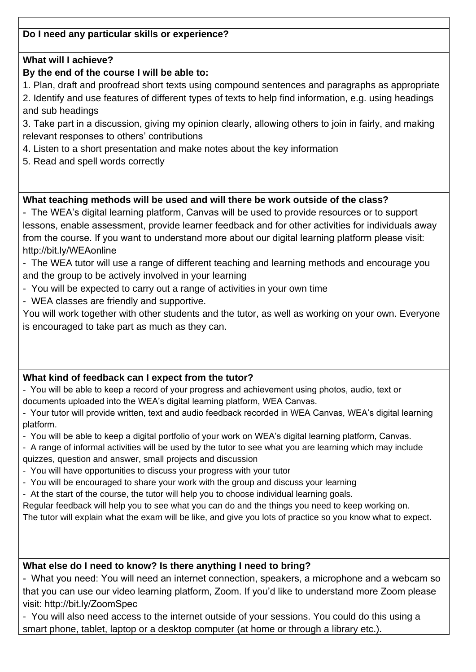# **Do I need any particular skills or experience?**

## **What will I achieve?**

## **By the end of the course I will be able to:**

- 1. Plan, draft and proofread short texts using compound sentences and paragraphs as appropriate
- 2. Identify and use features of different types of texts to help find information, e.g. using headings and sub headings
- 3. Take part in a discussion, giving my opinion clearly, allowing others to join in fairly, and making relevant responses to others' contributions
- 4. Listen to a short presentation and make notes about the key information
- 5. Read and spell words correctly

# **What teaching methods will be used and will there be work outside of the class?**

- The WEA's digital learning platform, Canvas will be used to provide resources or to support lessons, enable assessment, provide learner feedback and for other activities for individuals away from the course. If you want to understand more about our digital learning platform please visit: http://bit.ly/WEAonline

- The WEA tutor will use a range of different teaching and learning methods and encourage you and the group to be actively involved in your learning

- You will be expected to carry out a range of activities in your own time
- WEA classes are friendly and supportive.

You will work together with other students and the tutor, as well as working on your own. Everyone is encouraged to take part as much as they can.

### **What kind of feedback can I expect from the tutor?**

- You will be able to keep a record of your progress and achievement using photos, audio, text or documents uploaded into the WEA's digital learning platform, WEA Canvas.

- Your tutor will provide written, text and audio feedback recorded in WEA Canvas, WEA's digital learning platform.

- You will be able to keep a digital portfolio of your work on WEA's digital learning platform, Canvas.

- A range of informal activities will be used by the tutor to see what you are learning which may include quizzes, question and answer, small projects and discussion

- You will have opportunities to discuss your progress with your tutor
- You will be encouraged to share your work with the group and discuss your learning
- At the start of the course, the tutor will help you to choose individual learning goals.

Regular feedback will help you to see what you can do and the things you need to keep working on.

The tutor will explain what the exam will be like, and give you lots of practice so you know what to expect.

### **What else do I need to know? Is there anything I need to bring?**

- What you need: You will need an internet connection, speakers, a microphone and a webcam so that you can use our video learning platform, Zoom. If you'd like to understand more Zoom please visit: http://bit.ly/ZoomSpec

- You will also need access to the internet outside of your sessions. You could do this using a smart phone, tablet, laptop or a desktop computer (at home or through a library etc.).